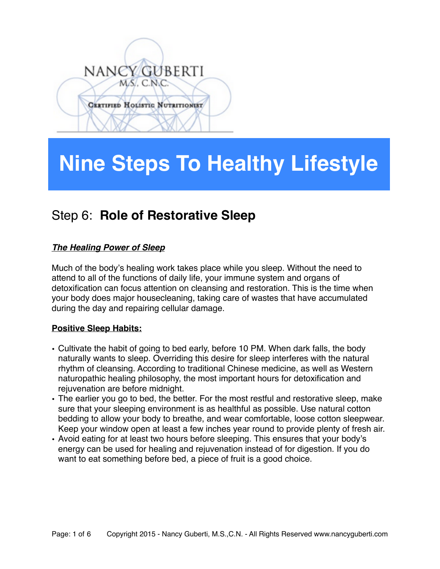# NANCY GUBERTI MS. C.N.C. **CERTIFIED HOLISTIC NUTRITIONIST**

## **Nine Steps To Healthy Lifestyle**

### Step 6: **Role of Restorative Sleep**

#### *The Healing Power of Sleep*

Much of the body's healing work takes place while you sleep. Without the need to attend to all of the functions of daily life, your immune system and organs of detoxification can focus attention on cleansing and restoration. This is the time when your body does major housecleaning, taking care of wastes that have accumulated during the day and repairing cellular damage.

#### **Positive Sleep Habits:**

- Cultivate the habit of going to bed early, before 10 PM. When dark falls, the body naturally wants to sleep. Overriding this desire for sleep interferes with the natural rhythm of cleansing. According to traditional Chinese medicine, as well as Western naturopathic healing philosophy, the most important hours for detoxification and rejuvenation are before midnight.
- The earlier you go to bed, the better. For the most restful and restorative sleep, make sure that your sleeping environment is as healthful as possible. Use natural cotton bedding to allow your body to breathe, and wear comfortable, loose cotton sleepwear. Keep your window open at least a few inches year round to provide plenty of fresh air.
- Avoid eating for at least two hours before sleeping. This ensures that your body's energy can be used for healing and rejuvenation instead of for digestion. If you do want to eat something before bed, a piece of fruit is a good choice.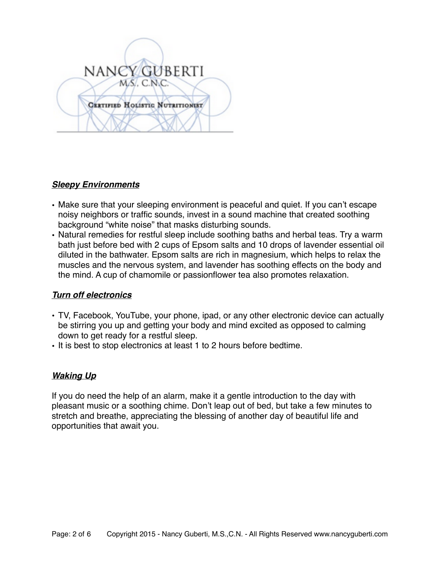

#### *Sleepy Environments*

- Make sure that your sleeping environment is peaceful and quiet. If you can't escape noisy neighbors or traffic sounds, invest in a sound machine that created soothing background "white noise" that masks disturbing sounds.
- Natural remedies for restful sleep include soothing baths and herbal teas. Try a warm bath just before bed with 2 cups of Epsom salts and 10 drops of lavender essential oil diluted in the bathwater. Epsom salts are rich in magnesium, which helps to relax the muscles and the nervous system, and lavender has soothing effects on the body and the mind. A cup of chamomile or passionflower tea also promotes relaxation.

#### *Turn off electronics*

- TV, Facebook, YouTube, your phone, ipad, or any other electronic device can actually be stirring you up and getting your body and mind excited as opposed to calming down to get ready for a restful sleep.
- It is best to stop electronics at least 1 to 2 hours before bedtime.

#### *Waking Up*

If you do need the help of an alarm, make it a gentle introduction to the day with pleasant music or a soothing chime. Don't leap out of bed, but take a few minutes to stretch and breathe, appreciating the blessing of another day of beautiful life and opportunities that await you.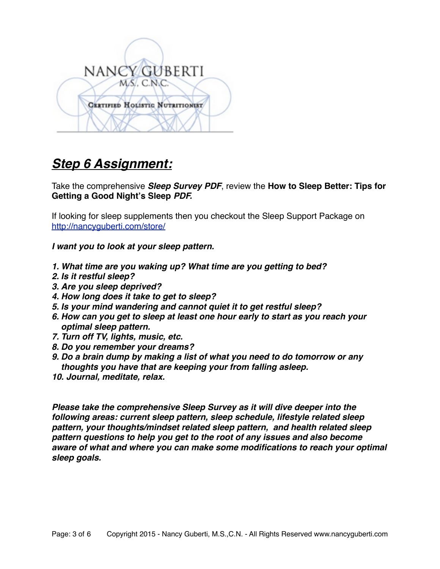

## *Step 6 Assignment:*

Take the comprehensive *Sleep Survey PDF*, review the **How to Sleep Better: Tips for Getting a Good Night's Sleep** *PDF.*

If looking for sleep supplements then you checkout the Sleep Support Package on <http://nancyguberti.com/store/>

*I want you to look at your sleep pattern.* 

- *1. What time are you waking up? What time are you getting to bed?*
- *2. Is it restful sleep?*
- *3. Are you sleep deprived?*
- *4. How long does it take to get to sleep?*
- *5. Is your mind wandering and cannot quiet it to get restful sleep?*
- *6. How can you get to sleep at least one hour early to start as you reach your optimal sleep pattern.*
- *7. Turn off TV, lights, music, etc.*
- *8. Do you remember your dreams?*
- *9. Do a brain dump by making a list of what you need to do tomorrow or any thoughts you have that are keeping your from falling asleep.*
- *10. Journal, meditate, relax.*

*Please take the comprehensive Sleep Survey as it will dive deeper into the following areas: current sleep pattern, sleep schedule, lifestyle related sleep pattern, your thoughts/mindset related sleep pattern, and health related sleep pattern questions to help you get to the root of any issues and also become aware of what and where you can make some modifications to reach your optimal sleep goals.*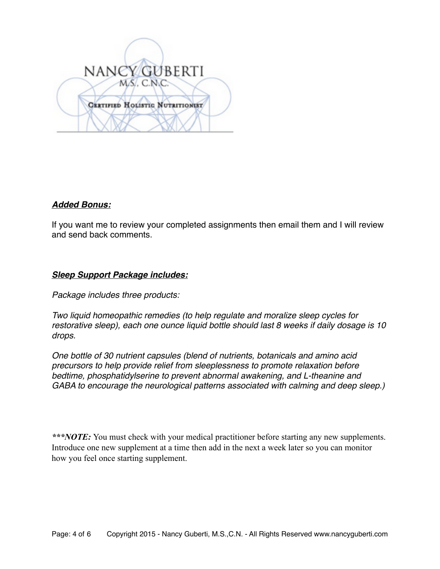

#### *Added Bonus:*

If you want me to review your completed assignments then email them and I will review and send back comments.

#### *Sleep Support Package includes:*

*Package includes three products:*

*Two liquid homeopathic remedies (to help regulate and moralize sleep cycles for restorative sleep), each one ounce liquid bottle should last 8 weeks if daily dosage is 10 drops.*

*One bottle of 30 nutrient capsules (blend of nutrients, botanicals and amino acid precursors to help provide relief from sleeplessness to promote relaxation before bedtime, phosphatidylserine to prevent abnormal awakening, and L-theanine and GABA to encourage the neurological patterns associated with calming and deep sleep.)*

*\*\*\*NOTE:* You must check with your medical practitioner before starting any new supplements. Introduce one new supplement at a time then add in the next a week later so you can monitor how you feel once starting supplement.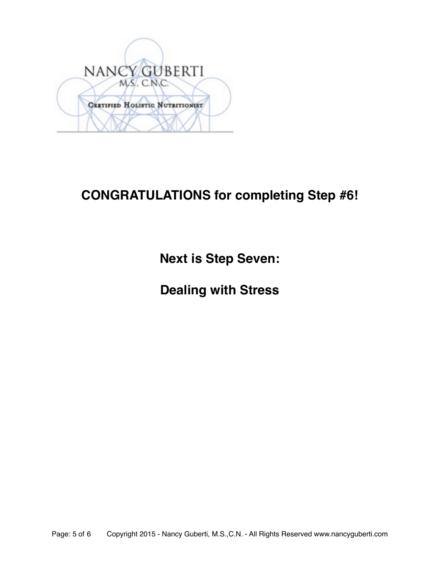

## **CONGRATULATIONS for completing Step #6!**

**Next is Step Seven:** 

**Dealing with Stress**